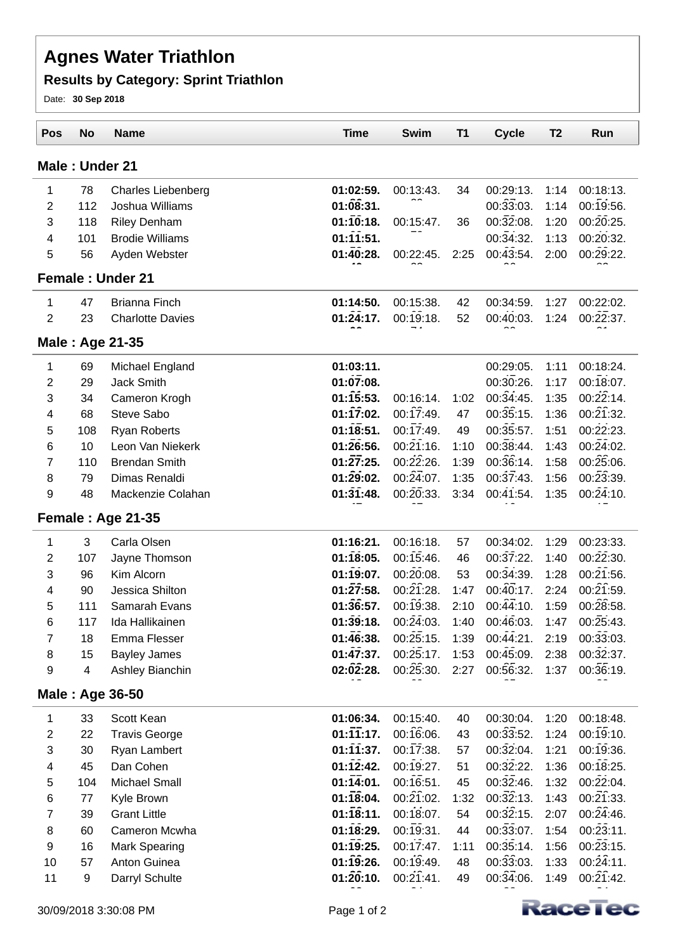### **Results by Category: Sprint Triathlon**

Date: **30 Sep 2018**

| <b>Pos</b>     | <b>No</b> | <b>Name</b>               | <b>Time</b>            | <b>Swim</b>            | <b>T1</b> | <b>Cycle</b>           | T <sub>2</sub> | Run                    |
|----------------|-----------|---------------------------|------------------------|------------------------|-----------|------------------------|----------------|------------------------|
| Male: Under 21 |           |                           |                        |                        |           |                        |                |                        |
| 1              | 78        | <b>Charles Liebenberg</b> | 01:02:59.              | 00:13:43.              | 34        | 00:29:13.              | 1:14           | 00:18:13.              |
| $\overline{2}$ | 112       | Joshua Williams           | 01:08:31.              |                        |           | 00:33:03.              | 1:14           | $00:19:56$ .           |
| 3              | 118       | <b>Riley Denham</b>       | 01:10:18.              | 00:15:47.              | 36        | 00:32:08.              | 1:20           | $00:\overline{20}:25.$ |
| 4              | 101       | <b>Brodie Williams</b>    | 01:11:51.              |                        |           | 00:34:32.              | 1:13           | 00:20:32.              |
| 5              | 56        | Ayden Webster             | 01:40:28.              | 00:22:45.              | 2:25      | 00:43:54.              | 2:00           | 00:29:22.              |
|                |           | <b>Female: Under 21</b>   |                        |                        |           |                        |                |                        |
| 1              | 47        | <b>Brianna Finch</b>      | 01:14:50.              | 00:15:38.              | 42        | 00:34:59.              | 1:27           | 00:22:02.              |
| $\overline{2}$ | 23        | <b>Charlotte Davies</b>   | $01:\!24:17.$          | 00:19:18.              | 52        | 00:40:03.              | 1:24           | 00:22:37.              |
|                |           | Male: Age 21-35           |                        |                        |           |                        |                |                        |
| 1              | 69        | Michael England           | 01:03:11.              |                        |           | 00:29:05.              | 1:11           | 00:18:24.              |
| 2              | 29        | <b>Jack Smith</b>         | 01:07:08.              |                        |           | 00:30:26.              | 1:17           | $00:18:07$ .           |
| 3              | 34        | Cameron Krogh             | 01:15:53.              | 00:16:14.              | 1:02      | 00:34:45.              | 1:35           | 00:22:14.              |
| 4              | 68        | Steve Sabo                | 01:17:02.              | 00:17:49.              | 47        | 00:35:15.              | 1:36           | $00:\!21:32$ .         |
| 5              | 108       | <b>Ryan Roberts</b>       | 01:18:51.              | 00:17:49.              | 49        | $00:36:57$ .           | 1:51           | 00:22:23.              |
| 6              | 10        | Leon Van Niekerk          | 01:26:56.              | $00:\!21:16$ .         | 1:10      | 00:38:44.              | 1:43           | $00:\overline{24}:02.$ |
| $\overline{7}$ | 110       | <b>Brendan Smith</b>      | 01:27:25.              | 00:22:26.              | 1:39      | 00:36:14.              | 1:58           | 00:25:06.              |
| 8              | 79        | Dimas Renaldi             | 01:29:02.              | 00:24:07.              | 1:35      | 00:37:43.              | 1:56           | 00:23:39.              |
| 9              | 48        | Mackenzie Colahan         | 01:31:48.              | 00:20:33.              | 3:34      | 00:41:54.              | 1:35           | 00:24:10.              |
|                |           | Female: Age 21-35         |                        |                        |           |                        |                |                        |
| 1              | 3         | Carla Olsen               | 01:16:21.              | 00:16:18.              | 57        | 00:34:02.              | 1:29           | 00:23:33.              |
| $\overline{2}$ | 107       | Jayne Thomson             | 01:18:05.              | 00:15:46.              | 46        | 00:37:22.              | 1:40           | 00:22:30.              |
| 3              | 96        | Kim Alcorn                | 01:19:07.              | 00:20:08.              | 53        | 00:34:39.              | 1:28           | $00:\!21:56$ .         |
| 4              | 90        | Jessica Shilton           | $01:\overline{27}:58.$ | $00:\!21:28$ .         | 1:47      | $00:\overline{40}:17.$ | 2:24           | $00:\!21:59$ .         |
| 5              | 111       | Samarah Evans             | 01:36:57.              | 00:19:38.              | 2:10      | $00:\overline{44}:10.$ | 1:59           | $00:28:58$ .           |
| 6              | 117       | Ida Hallikainen           | 01:39:18.              | $00:\overline{24}:03.$ | 1:40      | 00:46:03.              | 1:47           | 00:25:43.              |
| 7              | 18        | Emma Flesser              | 01:46:38.              | 00:25:15.              | 1:39      | 00:44:21.              | 2:19           | 00:33:03.              |
| 8              | 15        | <b>Bayley James</b>       | $01:\bar{47}:37.$      | 00:25:17.              | 1:53      | 00:45:09.              | 2:38           | 00:32:37.              |
| 9              | 4         | Ashley Bianchin           | 02:02:28.              | $00:\!25:30.$          | 2:27      | 00:56:32.              | 1:37           | 00:36:19.              |
|                |           | Male: Age 36-50           |                        |                        |           |                        |                |                        |
| 1              | 33        | Scott Kean                | 01:06:34.              | 00:15:40.              | 40        | 00:30:04.              | 1:20           | 00:18:48.              |
| 2              | 22        | <b>Travis George</b>      | $01:\overline{11}:17.$ | 00:16:06.              | 43        | 00:33:52.              | 1:24           | 00:19:10.              |
| 3              | 30        | Ryan Lambert              | $01:\overline{11}:37.$ | 00:17:38.              | 57        | $00:\overline{32}:04.$ | 1:21           | 00:19:36.              |
| 4              | 45        | Dan Cohen                 | 01:12:42.              | 00:19:27.              | 51        | 00:32:22.              | 1:36           | 00:18:25.              |
| 5              | 104       | <b>Michael Small</b>      | $01:\overline{14}:01.$ | 00:16:51.              | 45        | 00:32:46.              | 1:32           | 00:22:04.              |
| 6              | 77        | Kyle Brown                | 01:18:04.              | $00:\!21:02$ .         | 1:32      | $00:\overline{32}:13.$ | 1:43           | $00:\overline{21}:33.$ |
| 7              | 39        | <b>Grant Little</b>       | 01:18:11.              | 00:18:07.              | 54        | 00:32:15.              | 2:07           | $00:\overline{24}:46.$ |
| 8              | 60        | Cameron Mcwha             | 01:18:29.              | 00:19:31.              | 44        | 00:33:07.              | 1:54           | 00:23:11.              |
| 9              | 16        | <b>Mark Spearing</b>      | 01:19:25.              | 00:17:47.              | 1:11      | 00:35:14.              | 1:56           | $00:\overline{23}:15.$ |
| 10             | 57        | Anton Guinea              | 01:19:26.              | 00:19:49.              | 48        | 00:33:03.              | 1:33           | 00:24:11.              |
| 11             | 9         | Darryl Schulte            | 01:20:10.              | 00:21:41.              | 49        | 00:34:06.              | 1:49           | 00:21:42.              |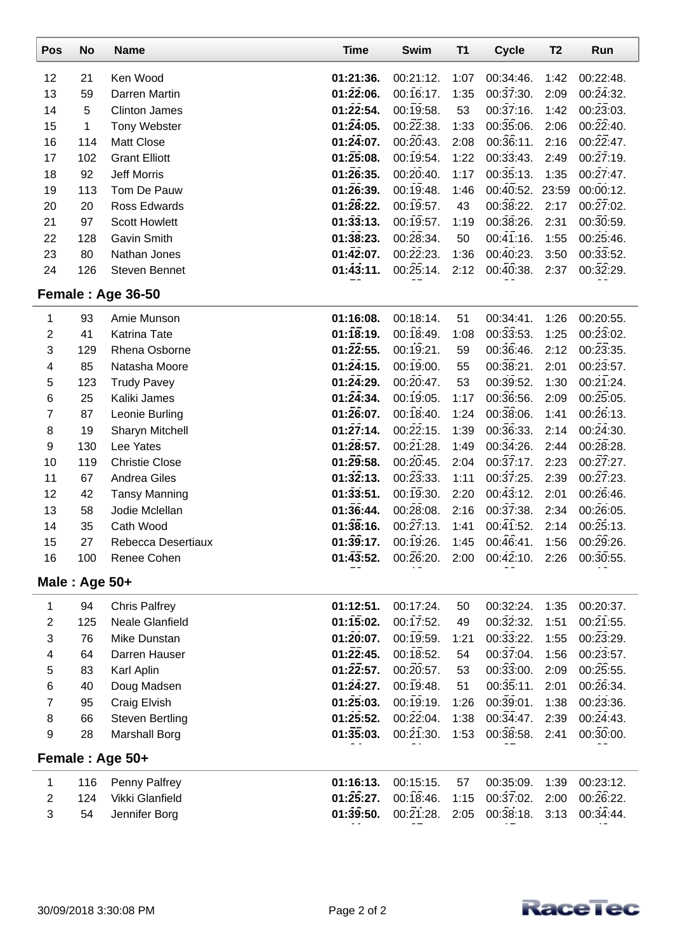| Pos              | No           | <b>Name</b>            | <b>Time</b>            | <b>Swim</b>            | T1   | <b>Cycle</b>                       | T <sub>2</sub> | Run                    |
|------------------|--------------|------------------------|------------------------|------------------------|------|------------------------------------|----------------|------------------------|
| 12               | 21           | Ken Wood               | 01:21:36.              | 00:21:12.              | 1:07 | 00:34:46.                          | 1:42           | 00:22:48.              |
| 13               | 59           | Darren Martin          | $01:\!22:06.$          | 00:16:17.              | 1:35 | 00:37:30.                          | 2:09           | 00:24:32.              |
| 14               | 5            | <b>Clinton James</b>   | 01:22:54.              | $00:19:58$ .           | 53   | 00:37:16.                          | 1:42           | $00:\overline{23}:03.$ |
| 15               | $\mathbf{1}$ | Tony Webster           | $01:\!24:05.$          | $00:\overline{22}:38.$ | 1:33 | $00:\overline{3}\overline{5}:06.$  | 2:06           | $00:\!22:40.$          |
| 16               | 114          | <b>Matt Close</b>      | 01:24:07.              | 00:20:43.              | 2:08 | 00:36:11.                          | 2:16           | $00:\overline{22}:47.$ |
| 17               | 102          | <b>Grant Elliott</b>   | $01:\!25:08.$          | 00:19:54.              | 1:22 | 00:33:43.                          | 2:49           | $00:\overline{27}:19.$ |
| 18               | 92           | Jeff Morris            | $01:\!26:35.$          | 00:20:40.              | 1:17 | 00:35:13.                          | 1:35           | $00:\overline{27}:47.$ |
| 19               | 113          | Tom De Pauw            | 01:26:39.              | 00:19:48.              | 1:46 | $00:\overline{40}:52.$             | 23:59          | 00:00:12.              |
| 20               | 20           | Ross Edwards           | 01:28:22.              | 00:19:57.              | 43   | 00:38:22.                          | 2:17           | 00:27:02.              |
| 21               | 97           | <b>Scott Howlett</b>   | 01:33:13.              | $00:19:57$ .           | 1:19 | $00:\bar{36}:26.$                  | 2:31           | 00:30:59.              |
| 22               | 128          | <b>Gavin Smith</b>     | 01:38:23.              | 00:28:34.              | 50   | $00:\overline{41}:16.$             | 1:55           | 00:25:46.              |
| 23               | 80           | Nathan Jones           | 01:42:07.              | 00:22:23.              | 1:36 | 00:40:23.                          | 3:50           | 00:33:52.              |
| 24               | 126          | <b>Steven Bennet</b>   | 01:43:11.              | 00:25:14.              | 2:12 | 00:40:38.                          | 2:37           | 00:32:29.              |
|                  |              | Female: Age 36-50      |                        |                        |      |                                    |                |                        |
| 1                | 93           | Amie Munson            | 01:16:08.              | 00:18:14.              | 51   | 00:34:41.                          | 1:26           | 00:20:55.              |
| $\boldsymbol{2}$ | 41           | <b>Katrina Tate</b>    | 01:18:19.              | 00:18:49.              | 1:08 | 00:33:53.                          | 1:25           | 00:23:02.              |
| 3                | 129          | Rhena Osborne          | $01:\overline{22}:55.$ | 00:19:21.              | 59   | 00:36:46.                          | 2:12           | $00:\overline{23}:35.$ |
| 4                | 85           | Natasha Moore          | 01:24:15.              | 00:19:00.              | 55   | 00:38:21.                          | 2:01           | 00:23:57.              |
| 5                | 123          | <b>Trudy Pavey</b>     | $01:\!24:29.$          | 00:20:47.              | 53   | 00:39:52.                          | 1:30           | 00:21:24.              |
| 6                | 25           | Kaliki James           | $01:\overline{24}:34.$ | 00:19:05.              | 1:17 | 00:36:56.                          | 2:09           | $00:\overline{25}:05.$ |
| 7                | 87           | Leonie Burling         | 01:26:07.              | 00:18:40.              | 1:24 | $00:38:06$ .                       | 1:41           | 00:26:13.              |
| 8                | 19           | Sharyn Mitchell        | $01:\overline{27}:14.$ | $00:\!22:15.$          | 1:39 | 00:36:33.                          | 2:14           | $00:\!24:30.$          |
| $\boldsymbol{9}$ | 130          | Lee Yates              | 01:28:57.              | $00:\!21:28.$          | 1:49 | $00:\overline{34}:26.$             | 2:44           | $00:\overline{28}:28.$ |
| 10               | 119          | <b>Christie Close</b>  | $01:\overline{29}:58.$ | 00:20:45.              | 2:04 | $00:\overline{37}:17.$             | 2:23           | $00:\overline{27}:27.$ |
| 11               | 67           | Andrea Giles           | 01:32:13.              | $00:\overline{23}:33.$ | 1:11 | 00:37:25.                          | 2:39           | $00:\bar{27}:23.$      |
| 12               | 42           | <b>Tansy Manning</b>   | 01:33:51.              | 00:19:30.              | 2:20 | $00:\overline{43}:12.$             | 2:01           | 00:26:46.              |
| 13               | 58           | Jodie Mclellan         | 01:36:44.              | $00:\!28:08$ .         | 2:16 | $00:\overline{37}:38.$             | 2:34           | 00:26:05.              |
| 14               | 35           | Cath Wood              | 01:38:16.              | $00:\overline{27}:13.$ | 1:41 | $00:\overline{41}:\overline{52}$ . | 2:14           | $00:\!25:13$ .         |
| 15               | 27           | Rebecca Desertiaux     | 01:39:17.              | 00:19:26.              | 1:45 | 00:46:41.                          | 1:56           | 00:29:26.              |
| 16               | 100          | Renee Cohen            | 01:43:52.              | 00:26:20.              | 2:00 | 00:42:10.                          | 2:26           | 00:30:55.              |
| Male: Age $50+$  |              |                        |                        |                        |      |                                    |                |                        |
| 1                | 94           | <b>Chris Palfrey</b>   | 01:12:51.              | 00:17:24.              | 50   | 00:32:24.                          | 1:35           | 00:20:37.              |
| $\boldsymbol{2}$ | 125          | <b>Neale Glanfield</b> | 01:15:02.              | 00:17:52.              | 49   | $00:\overline{32}:32.$             | 1:51           | $00:\bar{21}:55.$      |
| 3                | 76           | Mike Dunstan           | $01:20:07$ .           | 00:19:59.              | 1:21 | $00:\overline{33}:22.$             | 1:55           | $00:\overline{23}:29.$ |
| 4                | 64           | Darren Hauser          | $01:\overline{22}:45.$ | 00:18:52.              | 54   | $00:\overline{37}:04.$             | 1:56           | 00:23:57.              |
| 5                | 83           | Karl Aplin             | $01:\overline{22}:57.$ | $00:20:57$ .           | 53   | 00:33:00.                          | 2:09           | 00:25:55.              |
| 6                | 40           | Doug Madsen            | 01:24:27.              | 00:19:48.              | 51   | 00:35:11.                          | 2:01           | 00:26:34.              |
| 7                | 95           | Craig Elvish           | 01:25:03.              | 00:19:19.              | 1:26 | 00:39:01.                          | 1:38           | 00:23:36.              |
| 8                | 66           | <b>Steven Bertling</b> | 01:25:52.              | 00:22:04.              | 1:38 | 00:34:47.                          | 2:39           | 00:24:43.              |
| 9                | 28           | <b>Marshall Borg</b>   | 01:35:03.              | 00:21:30.              | 1:53 | 00:38:58.                          | 2:41           | 00:30:00.              |
|                  |              | Female: Age 50+        |                        |                        |      |                                    |                |                        |
| 1                | 116          | Penny Palfrey          | 01:16:13.              | 00:15:15.              | 57   | 00:35:09.                          | 1:39           | 00:23:12.              |
| $\overline{2}$   | 124          | Vikki Glanfield        | $01:\!25:27.$          | 00:18:46.              | 1:15 | 00:37:02.                          | 2:00           | $00:\overline{26}:22.$ |
| 3                | 54           | Jennifer Borg          | 01:39:50.              | $00:\overline{21}:28.$ | 2:05 | 00:38:18.                          | 3:13           | 00:34:44.              |
|                  |              |                        |                        |                        |      |                                    |                |                        |

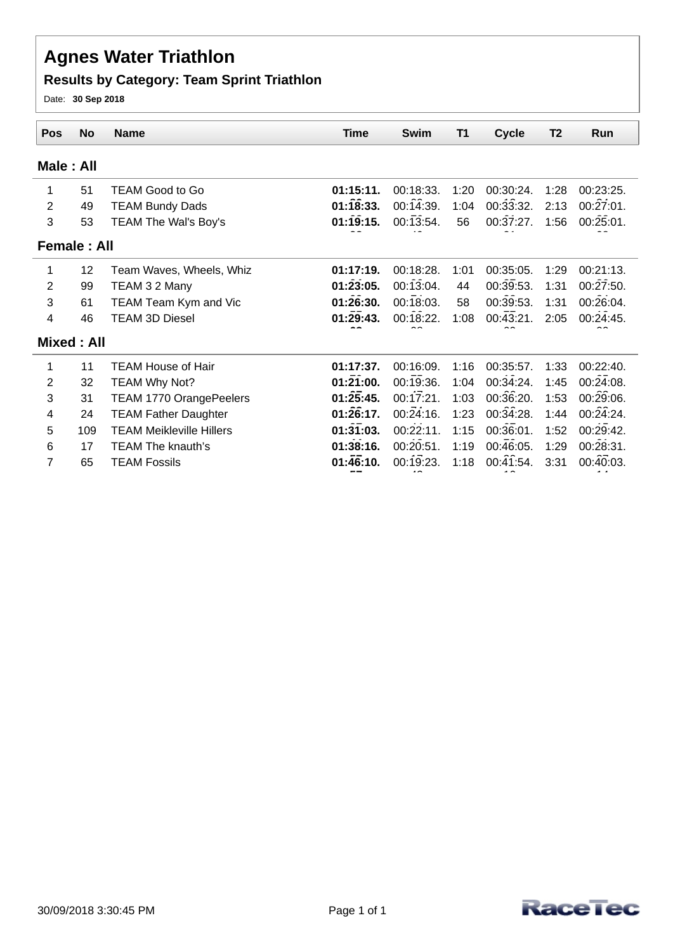### **Results by Category: Team Sprint Triathlon**

Date: **30 Sep 2018**

| <b>Pos</b>     | <b>No</b>          | <b>Name</b>                     | <b>Time</b> | <b>Swim</b> | <b>T1</b> | <b>Cycle</b>           | T <sub>2</sub> | Run       |
|----------------|--------------------|---------------------------------|-------------|-------------|-----------|------------------------|----------------|-----------|
|                |                    |                                 |             |             |           |                        |                |           |
| Male: All      |                    |                                 |             |             |           |                        |                |           |
| 1              | 51                 | <b>TEAM Good to Go</b>          | 01:15:11.   | 00:18:33.   | 1:20      | 00:30:24.              | 1:28           | 00:23:25. |
| $\overline{2}$ | 49                 | <b>TEAM Bundy Dads</b>          | 01:18:33.   | 00:14:39.   | 1:04      | 00:33:32.              | 2:13           | 00:27:01. |
| 3              | 53                 | TEAM The Wal's Boy's            | 01:19:15.   | 00:13:54.   | 56        | 00:37:27.              | 1:56           | 00:25:01. |
|                | <b>Female: All</b> |                                 |             |             |           |                        |                |           |
| 1              | 12                 | Team Waves, Wheels, Whiz        | 01:17:19.   | 00:18:28.   | 1:01      | 00:35:05.              | 1:29           | 00:21:13. |
| 2              | 99                 | TEAM 3 2 Many                   | 01:23:05.   | 00:13:04.   | 44        | 00:39:53.              | 1:31           | 00:27:50. |
| 3              | 61                 | TEAM Team Kym and Vic           | 01:26:30.   | 00:18:03.   | 58        | 00:39:53.              | 1:31           | 00:26:04. |
| 4              | 46                 | <b>TEAM 3D Diesel</b>           | 01:29:43.   | 00:18:22.   | 1:08      | $00:\overline{43}:21.$ | 2:05           | 00:24:45. |
|                | Mixed: All         |                                 |             |             |           |                        |                |           |
| 1              | 11                 | <b>TEAM House of Hair</b>       | 01:17:37.   | 00:16:09.   | 1:16      | 00:35:57.              | 1:33           | 00:22:40. |
| 2              | 32                 | TEAM Why Not?                   | 01:21:00.   | 00:19:36.   | 1:04      | 00:34:24.              | 1:45           | 00:24:08. |
| 3              | 31                 | TEAM 1770 OrangePeelers         | 01:25:45.   | 00:17:21.   | 1:03      | 00:36:20.              | 1:53           | 00:29:06. |
| 4              | 24                 | <b>TEAM Father Daughter</b>     | 01:26:17.   | 00:24:16.   | 1:23      | 00:34:28.              | 1:44           | 00:24:24. |
| 5              | 109                | <b>TEAM Meikleville Hillers</b> | 01:31:03.   | 00:22:11.   | 1:15      | 00:36:01.              | 1:52           | 00:29:42. |
| 6              | 17                 | <b>TEAM The knauth's</b>        | 01:38:16.   | 00:20:51.   | 1:19      | 00:46:05.              | 1:29           | 00:28:31. |
| 7              | 65                 | <b>TEAM Fossils</b>             | 01:46:10.   | 00:19:23.   | 1:18      | 00:41:54.              | 3:31           | 00:40:03. |
|                |                    |                                 |             |             |           |                        |                |           |

**57**

43

10

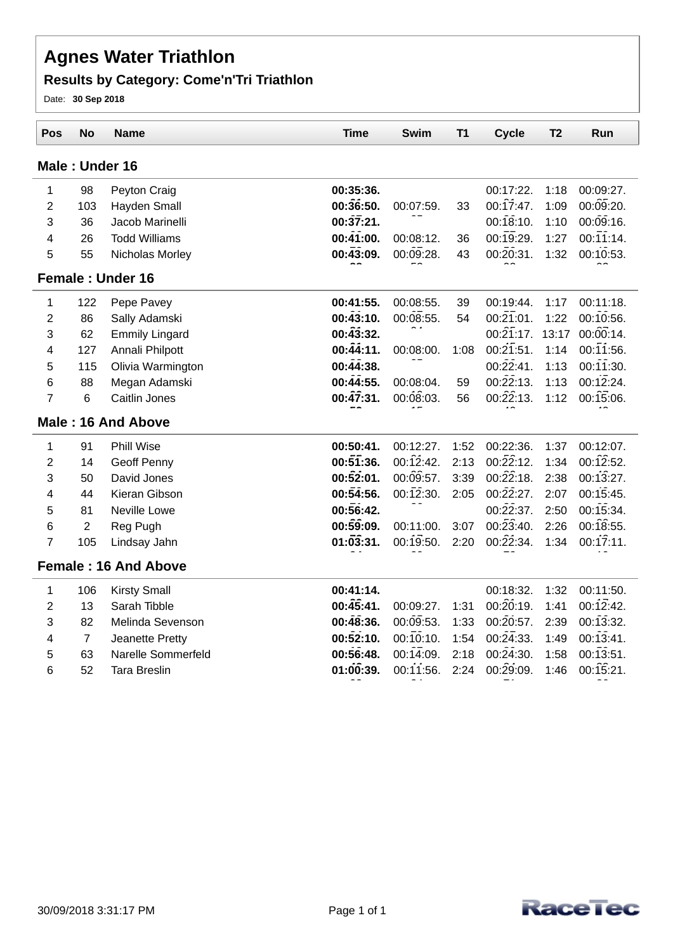### **Results by Category: Come'n'Tri Triathlon**

Date: **30 Sep 2018**

| Pos                     | No             | <b>Name</b>                 | <b>Time</b>       | Swim      | T1   | <b>Cycle</b>           | T <sub>2</sub> | Run          |
|-------------------------|----------------|-----------------------------|-------------------|-----------|------|------------------------|----------------|--------------|
|                         |                | Male: Under 16              |                   |           |      |                        |                |              |
| 1                       | 98             | Peyton Craig                | 00:35:36.         |           |      | 00:17:22.              | 1:18           | 00:09:27.    |
| $\overline{2}$          | 103            | Hayden Small                | 00:36:50.         | 00:07:59. | 33   | 00:17:47.              | 1:09           | 00:09:20.    |
| 3                       | 36             | Jacob Marinelli             | $00:\bar{37}:21.$ |           |      | 00:18:10.              | 1:10           | 00:09:16.    |
| $\overline{\mathbf{4}}$ | 26             | <b>Todd Williams</b>        | 00:41:00.         | 00:08:12. | 36   | 00:19:29.              | 1:27           | 00:11:14.    |
| 5                       | 55             | Nicholas Morley             | $00:\bar{43}:09.$ | 00:09:28. | 43   | 00:20:31.              | 1:32           | 00:10:53.    |
|                         |                | <b>Female: Under 16</b>     |                   |           |      |                        |                |              |
| 1                       | 122            | Pepe Pavey                  | 00:41:55.         | 00:08:55. | 39   | 00:19:44.              | 1:17           | 00:11:18.    |
| $\overline{2}$          | 86             | Sally Adamski               | 00:43:10.         | 00:08:55. | 54   | $00:\overline{21}:01.$ | 1:22           | 00:10:56.    |
| 3                       | 62             | <b>Emmily Lingard</b>       | 00:43:32.         |           |      | $00:\overline{21}:17.$ | 13:17          | 00:00:14.    |
| 4                       | 127            | Annali Philpott             | 00:44:11.         | 00:08:00. | 1:08 | 00:21:51.              | 1:14           | $00:11:56$ . |
| 5                       | 115            | Olivia Warmington           | 00:44:38.         |           |      | 00:22:41.              | 1:13           | 00:11:30.    |
| 6                       | 88             | Megan Adamski               | 00:44:55.         | 00:08:04. | 59   | $00:\overline{22}:13.$ | 1:13           | 00:12:24.    |
| $\overline{7}$          | 6              | Caitlin Jones               | 00:47:31.         | 00:08:03. | 56   | $00:\!22:13$ .         | 1:12           | 00:15:06.    |
|                         |                | Male: 16 And Above          |                   |           |      |                        |                |              |
| 1                       | 91             | <b>Phill Wise</b>           | 00:50:41.         | 00:12:27. | 1:52 | 00:22:36.              | 1:37           | 00:12:07.    |
| $\overline{2}$          | 14             | Geoff Penny                 | 00:51:36.         | 00:12:42. | 2:13 | $00:\overline{22}:12.$ | 1:34           | 00:12:52.    |
| 3                       | 50             | David Jones                 | 00:52:01.         | 00:09:57. | 3:39 | $00:\overline{22}:18.$ | 2:38           | 00:13:27.    |
| 4                       | 44             | Kieran Gibson               | 00:54:56.         | 00:12:30. | 2:05 | $00:\overline{22}:27.$ | 2:07           | 00:15:45.    |
| 5                       | 81             | Neville Lowe                | 00:56:42.         |           |      | $00:\!22:37.$          | 2:50           | 00:15:34.    |
| 6                       | $\overline{2}$ | Reg Pugh                    | 00:59:09.         | 00:11:00. | 3:07 | $00:\overline{23}:40.$ | 2:26           | $00:18:55$ . |
| $\overline{7}$          | 105            | Lindsay Jahn                | 01:03:31.         | 00:19:50. | 2:20 | $00:\overline{2}2:34.$ | 1:34           | 00:17:11.    |
|                         |                | <b>Female: 16 And Above</b> |                   |           |      |                        |                |              |
| $\mathbf{1}$            | 106            | <b>Kirsty Small</b>         | 00:41:14.         |           |      | 00:18:32.              | 1:32           | 00:11:50.    |
| $\overline{2}$          | 13             | Sarah Tibble                | 00:45:41.         | 00:09:27. | 1:31 | 00:20:19.              | 1:41           | 00:12:42.    |
| 3                       | 82             | Melinda Sevenson            | 00:48:36.         | 00:09:53. | 1:33 | 00:20:57.              | 2:39           | 00:13:32.    |
| 4                       | $\overline{7}$ | Jeanette Pretty             | 00:52:10.         | 00:10:10. | 1:54 | $00:\!2\bar{4}:\!33.$  | 1:49           | 00:13:41.    |
| 5                       | 63             | Narelle Sommerfeld          | 00:56:48.         | 00:14:09. | 2:18 | $00:\overline{24}:30.$ | 1:58           | 00:13:51.    |
| 6                       | 52             | <b>Tara Breslin</b>         | 01:00:39.         | 00:11:56. | 2:24 | 00:29:09.              | 1:46           | 00:15:21.    |